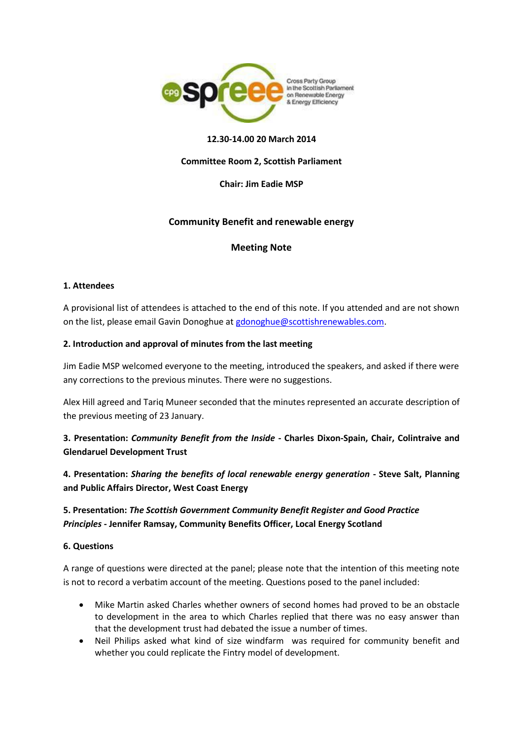

## **12.30-14.00 20 March 2014**

## **Committee Room 2, Scottish Parliament**

**Chair: Jim Eadie MSP**

# **Community Benefit and renewable energy**

## **Meeting Note**

### **1. Attendees**

A provisional list of attendees is attached to the end of this note. If you attended and are not shown on the list, please email Gavin Donoghue a[t gdonoghue@scottishrenewables.com.](mailto:gdonoghue@scottishrenewables.com)

### **2. Introduction and approval of minutes from the last meeting**

Jim Eadie MSP welcomed everyone to the meeting, introduced the speakers, and asked if there were any corrections to the previous minutes. There were no suggestions.

Alex Hill agreed and Tariq Muneer seconded that the minutes represented an accurate description of the previous meeting of 23 January.

**3. Presentation:** *Community Benefit from the Inside* **- Charles Dixon-Spain, Chair, Colintraive and Glendaruel Development Trust**

**4. Presentation:** *Sharing the benefits of local renewable energy generation* **- Steve Salt, Planning and Public Affairs Director, West Coast Energy**

# **5. Presentation:** *The Scottish Government Community Benefit Register and Good Practice Principles* **- Jennifer Ramsay, Community Benefits Officer, Local Energy Scotland**

### **6. Questions**

A range of questions were directed at the panel; please note that the intention of this meeting note is not to record a verbatim account of the meeting. Questions posed to the panel included:

- Mike Martin asked Charles whether owners of second homes had proved to be an obstacle to development in the area to which Charles replied that there was no easy answer than that the development trust had debated the issue a number of times.
- Neil Philips asked what kind of size windfarm was required for community benefit and whether you could replicate the Fintry model of development.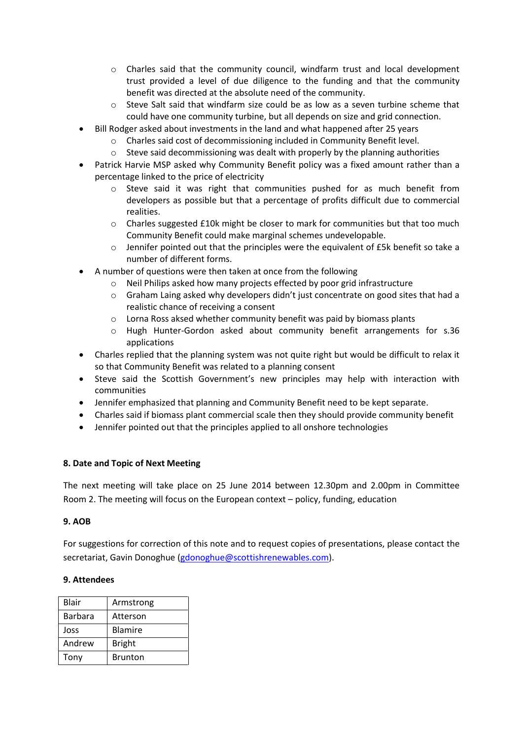- o Charles said that the community council, windfarm trust and local development trust provided a level of due diligence to the funding and that the community benefit was directed at the absolute need of the community.
- $\circ$  Steve Salt said that windfarm size could be as low as a seven turbine scheme that could have one community turbine, but all depends on size and grid connection.
- Bill Rodger asked about investments in the land and what happened after 25 years
	- o Charles said cost of decommissioning included in Community Benefit level.
	- $\circ$  Steve said decommissioning was dealt with properly by the planning authorities
- Patrick Harvie MSP asked why Community Benefit policy was a fixed amount rather than a percentage linked to the price of electricity
	- $\circ$  Steve said it was right that communities pushed for as much benefit from developers as possible but that a percentage of profits difficult due to commercial realities.
	- o Charles suggested £10k might be closer to mark for communities but that too much Community Benefit could make marginal schemes undevelopable.
	- $\circ$  Jennifer pointed out that the principles were the equivalent of £5k benefit so take a number of different forms.
- A number of questions were then taken at once from the following
	- Neil Philips asked how many projects effected by poor grid infrastructure
	- $\circ$  Graham Laing asked why developers didn't just concentrate on good sites that had a realistic chance of receiving a consent
	- o Lorna Ross aksed whether community benefit was paid by biomass plants
	- o Hugh Hunter-Gordon asked about community benefit arrangements for s.36 applications
- Charles replied that the planning system was not quite right but would be difficult to relax it so that Community Benefit was related to a planning consent
- Steve said the Scottish Government's new principles may help with interaction with communities
- Jennifer emphasized that planning and Community Benefit need to be kept separate.
- Charles said if biomass plant commercial scale then they should provide community benefit
- Jennifer pointed out that the principles applied to all onshore technologies

# **8. Date and Topic of Next Meeting**

The next meeting will take place on 25 June 2014 between 12.30pm and 2.00pm in Committee Room 2. The meeting will focus on the European context – policy, funding, education

# **9. AOB**

For suggestions for correction of this note and to request copies of presentations, please contact the secretariat, Gavin Donoghue [\(gdonoghue@scottishrenewables.com\)](mailto:gdonoghue@scottishrenewables.com).

# **9. Attendees**

| Blair   | Armstrong      |
|---------|----------------|
| Barbara | Atterson       |
| Joss    | <b>Blamire</b> |
| Andrew  | <b>Bright</b>  |
| Tony    | <b>Brunton</b> |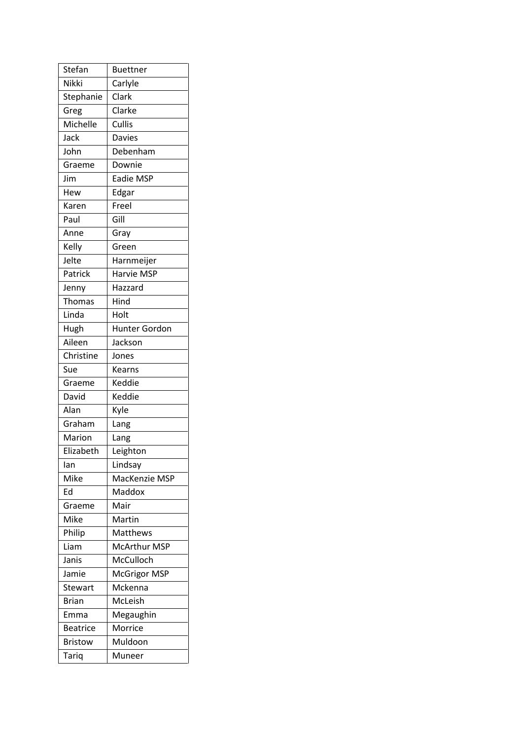| Stefan          | <b>Buettner</b>      |
|-----------------|----------------------|
| Nikki           | Carlyle              |
| Stephanie       | Clark                |
| Greg            | Clarke               |
| Michelle        | Cullis               |
| Jack            | <b>Davies</b>        |
| John            | Debenham             |
| Graeme          | Downie               |
| Jim             | Eadie MSP            |
| Hew             | Edgar                |
| Karen           | Freel                |
| Paul            | Gill                 |
| Anne            | Gray                 |
| Kelly           | Green                |
| Jelte           | Harnmeijer           |
| Patrick         | Harvie MSP           |
| Jenny           | Hazzard              |
| Thomas          | Hind                 |
| Linda           | Holt                 |
| Hugh            | <b>Hunter Gordon</b> |
| Aileen          | Jackson              |
| Christine       | Jones                |
| Sue             | <b>Kearns</b>        |
| Graeme          | Keddie               |
| David           | Keddie               |
| Alan            | Kyle                 |
| Graham          | Lang                 |
| Marion          | Lang                 |
| Elizabeth       | Leighton             |
| lan             | Lindsay              |
| Mike            | MacKenzie MSP        |
| Ed              | Maddox               |
| Graeme          | Mair                 |
| Mike            | Martin               |
| Philip          | Matthews             |
| Liam            | <b>McArthur MSP</b>  |
| Janis           | McCulloch            |
| Jamie           | <b>McGrigor MSP</b>  |
| Stewart         | Mckenna              |
| <b>Brian</b>    | McLeish              |
| Emma            | Megaughin            |
| <b>Beatrice</b> | Morrice              |
| <b>Bristow</b>  | Muldoon              |
| <b>Tariq</b>    | Muneer               |